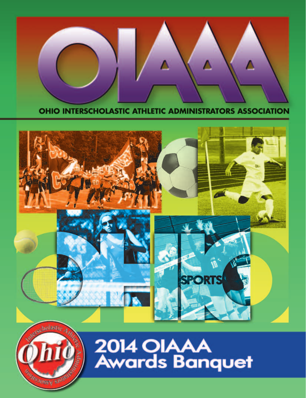

OHIO INTERSCHOLASTIC ATHLETIC ADMINISTRATORS ASSOCIATION





2014 OIAAA<br>Awards Banquet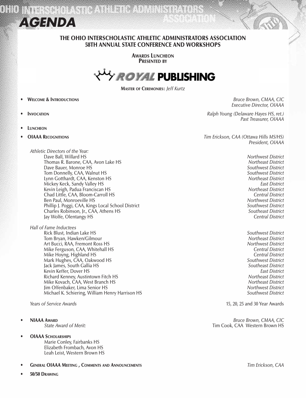

#### THE OHIO INTERSCHOLASTIC ATHLETIC ADMINISTRATORS ASSOCIATION 58TH ANNUAL STATE CONFERENCE AND WORKSHOPS

**AWARDS LUNCHEON** PRESENTED BY



Master of Ceremonies: *Jeff Kurtz*

- • Welcome & Introductions *Bruce Brown, CMAA, CIC*
- 
- **LUNCHEON**
- 

 *Executive Director, OIAAA* **INVOCATION** *Ralph Young (Delaware Hayes HS, ret.) Past Treasurer, OIAAA*

**OIAAA RECOGNITIONS** *CAA CAA* **(Ottawa Hills MS/HS)** *Tim Erickson, CAA* **(Ottawa Hills MS/HS)**  *President, OIAAA*

*Athletic Directors of the Year:*  Dave Ball, Willard HS *Northwest District* Thomas R. Barone, CAA, Avon Lake HS Dave Bauer, Monroe HS *Southwest District* Tom Donnelly, CAA, Walnut HS *Southwest District* Lynn Gotthardt, CAA, Kenston HS *Northeast District* Mickey Keck, Sandy Valley HS *East District* Kevin Leigh, Padua Franciscan HS Chad Little, CAA, Bloom-Carroll HS *Central District* Ben Paul, Monroeville HS *Northwest District* Phillip J. Poggi, CAA, Kings Local School District *Southwest District* Charles Robinson, Jr., CAA, Athens HS *Southeast District* Jay Wolfe, Olentangy HS

*Hall of Fame Inductees* Rick Blust, Indian Lake HS *Southwest District* Tom Bryan, Hawken/Gilmour *Northeast District* Art Bucci, RAA, Fremont Ross HS *Northwest District* Mike Ferguson, CAA, Whitehall HS *Central District* Mike Hoyng, Highland HS *Central District* Mark Hughes, CAA, Oakwood HS *Southwest District* Jack James, South Gallia HS *Southeast District* Kevin Keffer, Dover HS *East District* Richard Kenney, Austintown Fitch HS *Northeast District* Mike Kovach, CAA, West Branch HS *Northeast District* Jim Offenbaker, Lima Senior HS *Northwest District* Michael K. Schiering, William Henry Harrison HS *Southwest District*

- **OIAAA SCHOLARSHIPS** 
	- Marie Conley, Fairbanks HS Elizabeth Frombach, Avon HS Leah Leist, Western Brown HS
- • General OIAAA Meeting , Comments and Announcements *Tim Erickson, CAA*
- 50/50 DRAWING

*Years of Service Awards* 15, 20, 25 and 30 Year Awards

• NIAAA Award *Bruce Brown, CMAA, CIC State Award of Merit:* Tim Cook, CAA Western Brown HS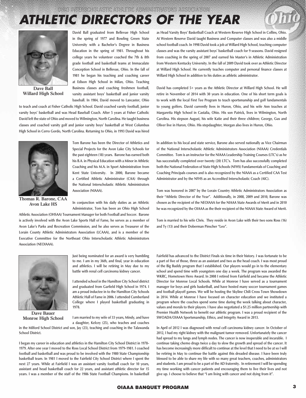# *ATHLETIC DIRECTORS OF THE YEAR*



**Dave Ball Willard High School**

**David Ball graduated from Bellevue High School in the spring of 1977 and Bowling Green State University with a Bachelor's Degree in Business Education in the spring of 1981. Throughout his college years he volunteer coached the 7th & 8th grade football and basketball teams at Immaculate Conception School in Bellevue, Ohio. In the fall of 1981 he began his teaching and coaching career at Edison High School in Milan, Ohio. Teaching Business classes and coaching freshmen football, varsity assistant boys' basketball and junior varsity baseball. In 1984, David moved to Lancaster, Ohio** 

**to teach and coach at Fisher Catholic High School. David coached varsity football, junior varsity boys' basketball and was Head Baseball Coach. After 5 years at Fisher Catholic David left the state of Ohio and moved to Wilmington, North Carolina. He taught business classes and coached varsity golf and junior varsity boys' basketball at West Columbus High School in Cerro Gordo, North Carolina. Returning to Ohio, in 1993 David was hired** 



**Thomas R. Barone, CAA Avon Lake HS**

**Tom Barone has been the Director of Athletics and Special Projects for the Avon Lake City Schools for the past eighteen (18) years. Barone has earned both his B.A. in Physical Education with a Minor in Athletic Coaching and his M.A. in Sport Administration from Kent State University. In 2000, Barone became a Certified Athletic Administrator (CAA) through the National Interscholastic Athletic Administrators Association (NIAAA).** 

**In conjunction with his daily duties as an Athletic Administrator, Tom has been an Ohio High School** 

**Athletic Association (OHSAA) Tournament Manager for both Football and Soccer. Barone is actively involved with the Avon Lake Sports Hall of Fame, he serves as a member of Avon Lake's Parks and Recreation Commission, and he also serves as Treasurer of the Lorain County Athletic Administrators Association (LCAAA), and is a member of the Executive Committee for the Northeast Ohio Interscholastic Athletic Administrators Association (NEOIAAA).** 



**Dave Bauer Monroe High School**

**Just being nominated for an award is very humbling to me. I am in my 36th, and final, year in education and athletics. I will be retiring in May due to my battle with renal cell carcinoma kidney cancer.** 

**I attended school in the Hamilton City School district and graduated from Garfield High School in 1974. I am a proud inductee in to the Hamilton City Schools Athletic Hall of Fame in 2006. I attended Cumberland College where I played basketball graduating in 1978.**

**I am married to my wife of 33 years, Mindy, and have a daughter, Kelcey (25), who teaches and coaches** 

**in the Milford School District and son, Jay (23), teaching and coaching in the Talawanda School District.**

**I began my career in education and athletics in the Hamilton City School District in 1978- 1979. After one year I moved to the Ross Local School District from 1979-1981. I coached football and basketball and was proud to be involved with the 1980 State Championship basketball team. In 1981 I moved to the Fairfield City School District where I spent the next 27 years. While at Fairfield I was an assistant varsity football coach for 10 years, assistant and head basketball coach for 22 years, and assistant athletic director for 15 years. I was a member of the staff of the 1986 State Football Champions. In basketball**  **as Head Varsity Boys' Basketball Coach at Western Reserve High School in Collins, Ohio. At Western Reserve David taught Business and Computer classes and was also a middle school football coach. In 1998 David took a job at Willard High School, teaching computer classes and was the varsity assistant boys' basketball coach for 9 seasons. David resigned from coaching in the spring of 2007 and earned his Master's in Athletic Administration from Western Kentucky University. In the fall of 2009 David took over as Athletic Director at Willard High School. He currently teaches computer and personal finance classes at Willard High School in addition to his duties as athletic administrator.**

**David has completed 5+ years as the Athletic Director at Willard High School. He will retire in November of 2014 with 30 years in education. One of his short term goals is to work with the local First Tee Program to teach sportsmanship and golf fundamentals to young golfers. David currently lives in Huron, Ohio, and his wife Ann teaches at Margaretta High School in Castalia, Ohio. His son Patrick, lives in Wilmington, North Carolina. His stepson August, his wife Katie and their three children; George, Gus and Oliver live in Huron, Ohio. His stepdaughter, Morgan also lives in Huron, Ohio.**

**In addition to his local and state service, Barone also served nationally as Vice Chairman of the National Interscholastic Athletic Administrators Association (NIAAA) Credentials Committee. Tom is an instructor for the NIAAA Leadership Training Courses (LTC's) as he has successfully completed over twenty (20) LTC's. Tom has also successfully completed both the National Federation of State High Schools (NFHS) Fundamentals of Coaching and Coaching Principals courses and is also recognized by the NIAAA as a Certified CAA Test Administrator and by the NFHS as an Accredited Interscholastic Coach (AIC).**

**Tom was honored in 2007 by the Lorain Country Athletic Administrators Association as their "Athletic Director of the Year". Additionally, in 2008, 2009 and 2010, Barone was chosen as the recipient of the NEOIAAA for the NIAAA State Awards of Merit and in 2010 he was recognized by the OIAAA as the their recipient of the NIAAA State Award of Merit.**

**Tom is married to his wife Chris. They reside in Avon Lake with their two sons Ross (16) and Ty (13) and their Doberman Pinscher "Leo".**

**Fairfield has advanced to the District Finals six time in their history. I was fortunate to be a part of five of those, three as an assistant and two as the head coach. I was most proud of the Big Buddy program that I established. Our players would go in to the elementary school and spend time with youngsters one day a week. The program was awarded the WKRC, Hometown Hero Award. In 2008 I retired from Fairfield and became the Athletic Director for Monroe Local Schools. While at Monroe I have served as a tournament manager for boys and girls basketball, and have hosted many soccer tournament games and football playoff games. We will be hosting the Skyline Chili Cross Town Showdown in 2014. While at Monroe I have focused on character education and we instituted a program where the coaches spend some time during the week talking about character, values and morals to their players. I have also negotiated a \$1.25 million partnership with Premier Health Network to benefit our athletic program. I was a proud recipient of the SWOADA/OIAAA Sportsmanship, Ethics, and Integrity Award in 2013.**

**In April of 2012 I was diagnosed with renal cell carcinoma kidney cancer. In October of 2012, I had my right kidney with the malignant tumor removed. Unfortunately the cancer had spread to my lungs and lymph nodes. The cancer is now inoperable and incurable. I continue taking chemo drugs twice a day to slow the growth and spread of the cancer. It has become increasingly more difficult to continue at the level that I need to be at so I will be retiring in May to continue the battle against this dreaded disease. I have been truly blessed to be able to share my life with so many great teachers, coaches, administrators and students. I am proud to be a part of the AD fraternity. In retirement I will be spending my time working with cancer patients and encouraging them to live their lives and not give up. I choose to believe that "I am living with cancer and not dying from it".**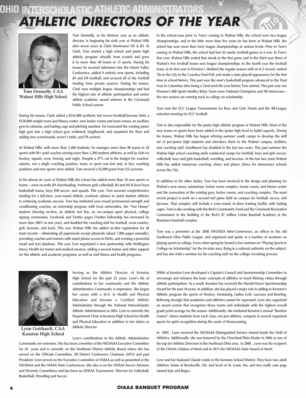### sen i All *ATHLETIC DIRECTORS OF THE YEAR*



**Tom Donnelly. CAA Walnut Hills High School**

**Tom Donnelly, in his thirteen year as an athletic director, is beginning his sixth year at Walnut Hills after seven years at Clark Montessori HS & JH. At Clark, Tom started a high school and junior high athletic program virtually from scratch and grew it to more than 40 teams in 15 sports. During his tenure he secured admission into the Miami Valley Conference, added 9 entirely new sports, including JH and HS football, and secured all of the football funding from private sources. During his tenure, Clark won multiple league championships and had the highest rate of athletic participation and senior athlete academic award winners in the Cincinnati Public School system.**

**During his tenure, Clark added a \$545,000 synthetic turf soccer/football/lacrosse field, a \$150,000 weight room and fitness center, new locker rooms and team rooms, an auxiliary gym in cafeteria, and batting cage and pitching machine. He renovated the existing junior high gym into a high school gym (widened, lengthened, and repainted the floor and adding new scoreboards, scorer's table, and PA system).**

**At Walnut Hills, with more than 2,400 students, he manages more than 90 teams in 28 sports with 90+ paid coaches serving more than 1,200 student-athletes, as well as club ice hockey, squash, crew, fencing, and rugby. Despite a 47% cut in the budget for coaches' salaries, not a single coaching position, team, or sport was lost and, in fact, coaching positions and new sports were added. Tom secured a \$5,000 grant from US Lacrosse.** 

**In his almost six years at Walnut Hills the school has added more than 18 new sports or teams – most recently JH cheerleading, freshmen girls volleyball, JH and HS B-level boys basketball teams, boys JVB soccer, and squash. This year, Tom secured comprehensive funding for a full-time, year-round athletic academic advisor to assist student athletes in achieving academic success. Tom has instituted year-round professional strength and conditioning coaches, an internship program with local universities, the "Nut House" student cheering section, an athletic hot line, an on-campus sport physical, college signing ceremonies, Facebook and Twitter pages (Twitter followship has increased by more than 300% in one year), and doubled the coaching staff for football, cross country, golf, lacrosse, and track. This year Walnut Hills has added on-line registration for all team tryouts – eliminating all paperwork except physicals (about 7,000 pages annually), providing coaches and trainers with smart phone access to EMAs, and creating a powerful email and text database. This year Tom negotiated a new partnership with Wellington Mercy Health for trainer and medical services, adding a second trainer and other support for the athletic and academic programs, as well as staff fitness and health programs.** 



**Lynn Gotthardt, CAA Kenston High School**

**Serving as the Athletic Director of Kenston High School for the past 22 years, Lynn's list of contributions to her community and the Athletic Administrative Community is impressive. She began her career with a M.A. in Health and Physical Education and became a Certified Athletic Administrator through the National Interscholastic Athletic Administrators in 2003. Lynn is currently the Department Chair at Kenston High School for Health and Physical Education in addition to her duties as Athletic Director.**

**Lynn's contributions to the Athletic Administrative** 

**Community are extensive. She has been a member of the NEOIAAA Executive Committee for 20 years and is currently on the Northeast District Athletic Board where she has served on the Officials Committee, All District Conference Chairman (2013) and past President. Lynn served on the Executive Committee of OIAAA as well as presented at the NEOIAAA and the OIAAA State Conferences. She also is on the OHSAA Soccer Advisory and Diversity Committees and has been an OHSAA Tournament Director for Volleyball, Basketball, Wrestling and Soccer.**

**In the school-year prior to Tom's coming to Walnut Hills, the school won two league championships, and in the little more than five years he has been at Walnut Hills, the school has won more than forty league championships at various levels. Prior to Tom's coming to Walnut Hills, the school had lost 36 varsity football games in a row. In Tom's first year, Walnut Hills ended that streak in the first game and in the third year three of Walnut's five football teams won league championships. In the fourth year the football team, in its first year in Division I, finished the regular season with an 8-2 record, ranked 7th in the City in the Coaches Final Poll, and made a state playoff appearance for the first time in school history. This past year the men's basketball program advanced to the Final Four in Columbus after being a 32nd seed the year before Tom started. This past year our Women's 800 Sprint Medley Relay Team were National Champions and All-Americans – the two seniors are running track in college on scholarship.** 

**Tom runs the ECC League Tournaments for Boys and Girls Tennis and the All-League selection meeting for ECC football.**

**Tom is also responsible for the junior high athletic program at Walnut Hills. Most of the new teams or sports have been added at the junior high level to build capacity. During his tenure, Walnut Hills has begun offering summer youth camps to develop the skill set of pre-junior high students and introduce them to the Walnut campus, facilities, and coaching staff. Enrollment has doubled in the last two years. This past summer the Walnut high school coaching staffs conducted camps for football, boys and girls soccer, volleyball, boys and girls basketball, wrestling, and lacrosse. In the last two years Walnut Hills has added numerous coaching clinics and player clinics for elementary schools across the City.** 

**In addition to his other duties, Tom has been involved in the design and planning for Walnut's new arena, natatorium, locker room complex, tennis courts, and fitness center and the renovation of the existing gym, locker rooms, and coaching complex. The most recent project is work on a second turf game field on campus for football, soccer, and lacrosse. That complex will include a year-round, in-door training facility with batting cages. Tom is also working with the Red's Community Fund and the Cincinnati Recreation Commission in the building of the Red's \$7 million Urban Baseball Academy at the Roselawn baseball complex.** 

**Tom was a presenter at the 2008 SWOADA Mini-Conference, an officer in the old Southwest Ohio Public League, and organized and spoke at a number of seminars on playing sports in college. Every other spring he hosted a free seminar on "Playing Sports in College on Scholarship" for the tri-state area, flying in a national authority on the subject, and has also held a seminar for his coaching staff on the college recruiting process.**

**While at Kenston Lynn developed a Captain's Council and Sportsmanship Committee to encourage and enhance the basic concepts of athletics to teach lifelong values through athletic participation. As a result, Kenston has received the Harold Meyer Sportsmanship Award for the past 10 years. In addition, she has played a major role in adding to Kenston's Athletic program the sports of Hockey, Swimming, Ladies Golf, Lacrosse and Bowling. Believing strongly that academics and athletics cannot be separated, Lynn also organized an award system that recognizes those teams and individuals with the highest overall grade point average for the season. Additionally, she instituted Kenston's annual "Bomber Games" where students from each class, not just athletes, compete in several organized sports for spirit recognition during the week of Homecoming.** 

**In 2005 , Lynn received the NEOIAAA Distinguished Service Award-Inside the Field of Athletics. Additionally, she was honored by the Cleveland Plain Dealer in 2006 as one of the top ten Athletic Directors in the Northeast Ohio area. In 2008 , Lynn was the recipient of the OIAAA Citation of Merit and in 2011 the NEOIAAA State Award of Merit.**

**Lynn and her husband Claude reside in the Kenston School District. They have two adult children; Krista of Brecksville, Oh. and Scott of St. Louis, Mo. and two really cute pugs named JoJo and Bogey.**

**.**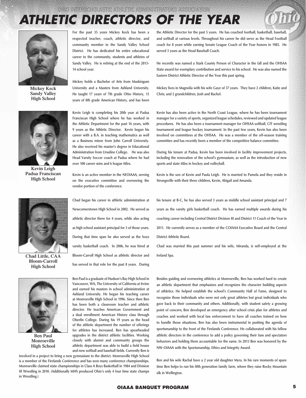# *ATHLETIC DIRECTORS OF THE YEAR*



**Mickey Keck Sandy Valley High School**



**Kevin Leigh Padua Franciscan High School**



**Bloom-Carroll High School**



**Ben Paul Monroeville High School** 

**For the past 35 years Mickey Keck has been a respected teacher, coach, athletic director, and community member in the Sandy Valley School District. He has dedicated his entire educational career to the community, students and athletes of Sandy Valley. He is retiring at the end of the 2013- 14 school year.**

**Mickey holds a Bachelor of Arts from Muskingum University and a Masters from Ashland University. He taught 17 years of 7th grade Ohio History, 13 years of 8th grade American History, and has been** 

**Kevin Leigh is completing his 20th year at Padua Franciscan High School where he has worked in the Athletic Department for the past 16 years, with 9 years as the Athletic Director. Kevin began his career with a B.A. in teaching mathematics as well as a Business minor from John Carroll University. He also received his master's degree in Educational Administration from Ursuline College. He was also Head Varsity Soccer coach at Padua where he had over 100 career wins and 6 league titles.** 

**Kevin is an active member in the NEOIAAA, serving on the executive committee and overseeing the vendor portion of the conference.** 

**Chad began his career in athletic administration at Newcomerstown High School in 2002. He served as athletic director there for 4 years, while also acting as high school assistant principal for 3 of those years. During that time span he also served as the boys varsity basketball coach. In 2006, he was hired at Bloom-Carroll High School as athletic director and Chad Little, CAA Ireland Spa. has served in that role for the past 8 years. During** 

> **Ben Paul is a graduate of Hudson's Bay High School in Vancouver, WA, The University of California at Irvine and earned his masters in school administration at Ashland University. He began his teaching career at Monroeville High School in 1996. Since then Ben has been both a classroom teacher and athletic director. He teaches American Government and a dual enrollment American History class through Oberlin College. During his 19 years as the head of the athletic department the number of offerings for athletes has increased. Ben has spearheaded upgrades in the district athletic facilities. Working closely with alumni and community groups the athletic department was able to build a field house and new softball and baseball fields. Currently Ben is**

**involved in a project to bring a new gymnasium to the district. Monroeville High School is a member of the Firelands Conference and has won many conference championships. Monroeville claimed state championships in Class A Boys Basketball in 1984 and Division III Wrestling in 2010. (Additionally MHS produced Ohio's only 4 four time state champs in Wrestling.)**

**the Athletic Director for the past 5 years. He has coached football, basketball, baseball, and softball at various levels. Throughout his career he did serve as the Head Football coach for 8 years while earning Senate League Coach of the Year honors in 1985. He served 3 years as the Head Baseball Coach.**

**He recently was named a Stark County Person of Character in the fall and the OHSAA State award for exemplary contribution and service to his school. He was also named the Eastern District Athletic Director of the Year this past spring.**

**Mickey lives in Magnolia with his wife Gaye of 37 years. They have 2 children, Katie and Chris; and 2 grandchildren, Josh and Rachel.**

**Kevin has also been active in the North Coast League, where he has been tournament manager for a variety of sports, organized league schedules, reviewed and updated league procedures. He has also been a tournament manager for OHSAA softball, CIT wrestling tournament and league hockey tournament. In the past few years, Kevin has also been involved on committees at the OHSAA. He was a member of the off-season training committee and has recently been a member of the competitive balance committee.** 

**During his tenure at Padua, Kevin has been involved in facility improvement projects, including the renovation of the school's gymnasium, as well as the introduction of new sports and state titles in hockey and volleyball.** 

**Kevin is the son of Kevin and Paula Leigh. He is married to Pamela and they reside in Strongsville with their three children, Kevin, Abigail and Amanda.** 

**his tenure at B-C, he has also served 3 years as middle school assistant principal and 7 years as the varsity girls basketball coach. He has earned multiple awards during his coaching career including Central District Division III and District 11 Coach of the Year in 2011. He currently serves as a member of the COIAAA Executive Board and the Central District Athletic Board.**

**Chad was married this past summer and his wife, Miranda, is self-employed at the**

**Besides guiding and overseeing athletics at Monroeville, Ben has worked hard to create an athletic department that emphasizes and recognizes the character building aspects of athletics. He helped establish the school's Community Hall of Fame, designed to recognize those individuals who were not only great athletes but great individuals who gave back to their community and others. Additionally, with student safety a growing point of concern, Ben developed an emergency after school crisis plan for athletes and coaches and worked with local law enforcement to have all coaches trained on how to handle those situations. Ben has also been instrumental in pushing the agenda of sportsmanship to the front of the Firelands Conference. He collaborated with his fellow athletic directors in the conference to add a policy governing their fans and spectators behaviors and holding them accountable for the same. In 2013 Ben was honored by the NW-OIAAA with the Sportsmanship, Ethics and Integrity Award.**

**Ben and his wife Rachal have a 2 year old daughter Myra. In his rare moments of spare time Ben helps to run his fifth generation family farm, where they raise Rocky Mountain elk in Wellington.**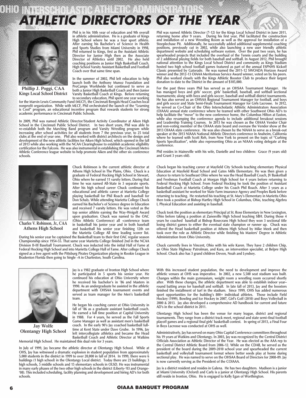# *ATHLETIC DIRECTORS OF THE YEAR*



**Phillip J. Poggi, CAA Kings Local School District**

**Phil is in his 10th year of education and 9th overall in athletic administration. He is a graduate of Kings High School where he was a four sport athlete. After earning his Bachelor's of Science in Health and Sports Studies from Miami University in 1998,**  Phil returned to Kings, first as the Assistant Athletic<br>Director for Junior High then as the Associate<br>Director of Athletics until 2002. He also held<br>Coaching positions as Junior High Basketball Coach,<br>High School Varsity **Coach over that same time span.** 

**In the summer of 2002, Phil left education to help launch both the Anthony Munoz Foundation and ProCamps Worldwide but continued to serve as both a Junior High Basketball Coach and then Junior Varsity Basketball Coach at Kings. Before returning** 

**Chuck Robinson is the current athletic director at Athens High School in The Plains, Ohio. Chuck is a graduate of Federal Hocking High School in Stewart, Ohio where he earned 11 varsity letters. During that time he was named All-State in 3 separate sports. After his high school career Chuck continued his educational and athletic career at Marietta College playing basketball for Phil Roach and baseball for Don Schaly. While attending Marietta College Chuck earned his Bachelor's of Science degree in Education and received 7 varsity letters. He was voted as the top senior athlete earning the Way-Weigelt Award upon graduation. Chuck was named to the OAC (Ohio Athletic Conference) all -conference team in basketball his junior year and in both baseball and basketball his senior year finishing 12th on** 

to secondary education, Phil spent one year working<br>for the Marvin Lewis Community Fund (MLCF), the Cincinnati Bengals Head Coaches local<br>nonprofit organization. While with MLCF, Phil orchestrated the launch of the "Learn **is Cool" program, an educational incentive program that rewards students for strong academic performance in Cincinnati Public Schools.**

In 2009, Phil was named Athletic Director/Student Activity Coordinator at Aiken High<br>School in the Cincinnati Public School District. In two short years, Phil was able to<br>re-establish both the Marching Band program and V **increasing after school activities for all students from 7 the previous year, to 25 total clubs at the end of year one. Phil also worked with district architects on the design and**  development of the new athletic facilities for Aiken High School, which opened in the fall **of 2013 while also working with the NCAA Clearinghouse to establish academic eligibility certification for the Falcons. He was also instrumental in establishing the Cincinnati Metro Athletic Conference league website to help promote Aiken and the other six conference schools.** 



**Charles V. Robinson, Jr., CAA Athens High School**

**the Marietta College All time leading scorer list. During his senior year he captained the Basketball team to their first OAC regular season Championship since 1954-55. That same year Marietta College finished 2nd in the NCAA Division II-III Baseball Tournament. Chuck was inducted into the initial Hall of Fame at Federal Hocking High School and into Marietta College Hall of Fame. After college Chuck signed as a free agent with the Pittsburg Pirates Organization playing in Rookie League in Bradenton Florida then going to Single -A in Charleston, South Carolina.**



**Jay Wolfe Olentangy High School**

**Jay is a 1982 graduate of Ironton High School where he participated in 5 sports his senior year. He continued his education at Ohio University where he received his bachelor's in '86 and Masters in 1990. As an undergraduate he assisted in the athletic department with OHSAA tournament events and served as team manager for the Men's basketball team.** 

**He began his coaching career at Ohio University in fall of '86 as a graduate assistant basketball coach. He earned a full time position at Capital University in 1988. For 4 years, he served as the Fall Sports Game Manager as well as assistant men's basketball coach. In the early 90's Jay coached basketball fulltime at Kent State under Dave Grube. In 1996, Jay left intercollegiate athletics and became the Head Basketball Coach and Athletic Director at Watkins** 

**Memorial High School. He maintained this dual role for 3 years.** 

In July of 1999, Jay became the athletic director at Olentangy High School. While at<br>OHS, Jay has witnessed a dramatic explosion in student population from approximately<br>5,000 students in the district in 1999 to over 20,00 **buildings (1 high school) in the Olentangy Local district. Today there are 23 buildings; 3**  high schools, 5 middle schools and 15 elementary schools in OLSD. He was instrumental **in many early phases of the two other high schools in the district (Liberty-'03 and Orange- '08). This included scheduling, facility planning and development and hiring AD's for both schools.**

**Phil was named Athletic Director (7-12) for the Kings Local School District in June 2011, returning home after 9 years. During his first year, Phil facilitated the construction and installation of a new Wrestling Room as well as the approval for installation of a Steeplechase Pit. Additionally, he successfully added additional supplemental coaching positions, previously cut in 2002, while also launching a new user friendly athletic department website and scheduling software system. Over the past two years, he has spearheaded projects that included the overhaul of the Tennis courts and the building**  of 2 additional playing fields for both baseball and softball. In August 2012, Phil brought<br>national attention to the Kings Local School District and community as Kings Stadium<br>hosted two high school football games feature **winner and the 2012-13 OIAAA Meritorious Service Award winner, voted on by his peers. Phil also worked closely with the Kings Athletic Booster Club to produce their largest donation to date to the District in the amount of \$105,000.** 

For the past three years Phil has served as an OHSAA Tournament Manager. He<br>has managed boys and girls' soccer, girls' basketball, baseball, and softball sectional<br>tournaments; along with boys and girls soccer, baseball an **and girls soccer and State Semi-Finals Tournament Manager for Girls Lacrosse. In 2012, he served as Co-Chair of the Ohio Interscholastic Athletic Administrators Association (OIAAA) annual state conference where he teamed with other Southwest Ohio AD's to help facilitate the "move" to the new conference home, the Columbus Hilton at Easton,**  while also revamping the conterence agenda to include additional breakout sessions<br>and Leadership Training Courses. In 2013 he was chosen as the OIAAA Vendor Chair<br>and non-voting member of the OIAAA state board and oversaw **2013 OIAAA state conference. He was also chosen by the NIAAA to serve as a break-out speaker at the 2013 NIAAA National Athletic Directors conference in Anaheim, California where he teamed with Scott Reh, from New York to present on the topic of "Curbing Sports Specilization", while also representing Ohio as an NIAAA voting delegate at the conference.** 

**Phil resides in Maineville with his wife, Danielle and two children: Grace (9 years old) and Grant 3 years old).**

**Chuck began his teaching career at Mayfield City Schools teaching elementary Physical Education at Mayfield Road School and Gates Mills Elementary. He was then given a chance to return to Southeast Ohio where he was the Head Baseball Coach, JV Basketball and Freshman Football Coach at Morgan High School for 4 years before returning to Federal Hocking High School. From Federal Hocking he took the position of Assistant Basketball Coach at Marietta College under his Coach Phil Roach. After 3 years as a basketball assistant he worked for State Farm insurance Agency and Peoples Bank before returning to teaching. He restarted his teaching at St. Mary's Elementary in Marietta Ohio then took a position at Bishop Hartley High School in Columbus, Ohio, teaching Algebra I, Physical Education and assisting in baseball.**

**Chuck took the position as elementary Principal at St. Rose Elementary in New Lexington, Ohio before taking a position at Zanesville High School teaching SBH. During those 4 years he coached baseball at Bishop Rosecrans High School they won 3 sectional title losing district games to either the eventual state champion or runner up. Chuck was offered the Head basketball position at Athens High School by Mike Meek and then took over the role as Athletic Director while finishing his Masters' Degree in Athletic Administration from Ohio University.**

**Chuck currently lives in Vincent, Ohio with his wife Karen. They have 2 children Chip, an Ohio State Highway Patrolman, and Kara, an intervention specialist, at Belpre High School. Chuck also has 3 grand children Devon, Noah and Lyndsey.**

**With this increased student population, the need to development and improve the athletic venues at OHS was imperative. In 2002, a new 5,500 seat stadium was built. Changes within the main gymnasium, weight room a wrestling room occurred shortly after. With these changes, the athletic department was able to establish indoor year– round batting areas for baseball and softball. In late fall of 2013, Jay and the boosters finished the installment of turf in the stadium. Since 1999, OHS has added numerous sport opportunities for the building's 800+ individual athletes. Those include Field Hockey (1999), Bowling and Ice Hockey in 2007, Girl's Golf (2010) and Boys Volleyball in 2000 & 2013. Jay also developed a comprehensive AD handbook for current and future AD's in the school district in 2011.**

**Olentangy High School has been the venue for many league, district and regional tournaments. They range from a district track meet, regional and state semi–final football playoff games and a regional final girls' basketball contest. In spring of 2013, a Final Four in Boys Lacrosse was conducted at OHS as well.** 

**Administratively, Jay has served on many Ohio Capital Conference committees throughout his 19 years at Watkins and Olentangy. In 2003, Jay was recognized by the Central District Officials Association as Athletic Director of the Year. He was elected as the AAA rep to the Central District Athletic Board from 2006-12. While on the CDAB, he served as the president of the board during the 2009-2010 school year and spearheaded the current basketball and volleyball tournament format where better seeds play at home during sectional play. He was named to serve on the OHSAA Board of Directors for 2008-09. Jay is now currently serving as the President of the COIAAA.**

**Jay is a district resident and resides in Galena. He has two daughters. Madison is a junior at Miami University (Oxford) and Carly is a junior at Olentangy High School. His parents still reside in Ironton, Ohio. He is engaged to Kelly Egan of Worthington.**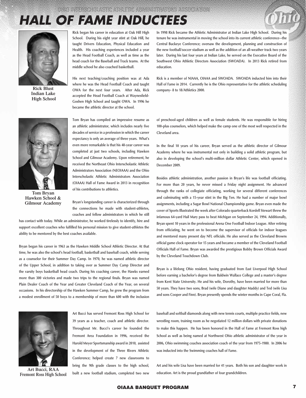

**Indian Lake High School**



**Tom Bryan Hawken School & Gilmour Academy**

**Rick began his career in education at Oak Hill High School. During his eight year stint at Oak Hill, he taught Drivers Education, Physical Education and Health. His coaching experiences included a year as the Head Football Coach, as well as time as the head coach for the Baseball and Track teams. At the middle school he also coached basketball.**

**His next teaching/coaching position was at Ada where he was the Head Football Coach and taught OWA for the next four years. After Ada, Rick Rick Blust company- 8 to 18/Athletics 2000. accepted the Head Football Coach at Waynesfield-Goshen High School and taught OWA. In 1996 he became the athletic director at the school.**

> **Tom Bryan has compiled an impressive resume as an athletic administrator, which includes nearly five decades of service in a profession in which the career expectancy is only an average of three years. What's even more remarkable is that his 48-year career was completed at just two schools, including Hawken School and Gilmour Academy. Upon retirement, he received the Northeast Ohio Interscholastic Athletic Administrators Association (NEOIAAA) and the Ohio Interscholastic Athletic Administrators Association (OIAAA) Hall of Fame Award in 2013 in recognition of his contributions to athletics.**

> **Bryan's longstanding career is characterized through the connections he made with student-athletes, coaches and fellow administrators in which he still**

**has contact with today. While an administrator, he worked tirelessly to identify, hire and support excellent coaches who fulfilled his personal mission to give student-athletes the ability to be mentored by the best coaches available.**

**Bryan began his career in 1963 as the Hawken Middle School Athletic Director. At that time, he was also the school's head football, basketball and baseball coach, while serving as a counselor for their Summer Day Camp. In 1970, he was named athletic director of the Upper School, in addition to taking over as Summer Day Camp Director and the varsity boys basketball head coach. During his coaching career, the Hawks earned more than 300 victories and made two trips to the regional finals. Bryan was named Plain Dealer Coach of the Year and Greater Cleveland Coach of the Year, on several occasions. In his directorship of the Hawken Summer Camp, he grew the program from a modest enrollment of 50 boys to a membership of more than 600 with the inclusion** 



**Fremont Ross High School**

**Art Bucci has served Fremont Ross High School for 39 years as a teacher, coach and athletic director. Throughout Mr. Bucci's career he founded the Fremont Area Foundation in 1996, received the Harold Meyer Sportsmanship award in 2010, assisted in the development of the Three Rivers Athletic Conference; helped create 7 new classrooms to bring the 9th grade classes to the high school, built a new football stadium, completed two new**  **In 1998 Rick became the Athletic Administrator at Indian Lake High School. During his tenure he was instrumental in moving the school into its current athletic conference--the Central Buckeye Conference; oversaw the development, planning and construction of the new football/soccer stadium as well as the addition of an all-weather track two years later. During his last four years at Indian Lake, he served on the Executive Board of the Southwest Ohio Athletic Directors Association (SWOADA). In 2013 Rick retired from education.**

**Rick is a member of NIAAA, OIAAA and SWOADA. SWOADA inducted him into their Hall of Fame in 2014. Currently he is the Ohio representative for the athletic scheduling** 

**of preschool-aged children as well as female students. He was responsible for hiring 100-plus counselors, which helped make the camp one of the most well respected in the Cleveland area.**

**In the final 10 years of his career, Bryan served as the athletic director of Gilmour Academy where he was instrumental not only in building a solid athletic program, but also in developing the school's multi-million dollar Athletic Center, which opened in December 2009.**

**Besides athletic administration, another passion in Bryan's life was football officiating. For more than 20 years, he never missed a Friday night assignment. He advanced through the ranks of collegiate officiating, working for several different conferences and culminating with a 15-year stint in the Big Ten. He had a number of major bowl assignments, including a Sugar Bowl National Championship game. Bryan even made the cover of Sports Illustrated the week after Colorado quarterback Kordell Stewart threw the infamous 64-yard Hail Mary pass to beat Michigan on September 24, 1994. Additionally, Bryan spent 10 years in the professional Arena One Football Indoor League. After retiring from officiating, he went on to become the supervisor of officials for indoor leagues and mentored many present day NFL officials. He also served as the Cleveland Browns official game clock operator for 15 years and became a member of the Cleveland Football Officials Hall of Fame. Bryan was awarded the prestigious Bobby Brown Officials Award by the Cleveland Touchdown Club.**

**Bryan is a lifelong Ohio resident, having graduated from East Liverpool High School before earning a bachelor's degree from Baldwin Wallace College and a master's degree from Kent State University. He and his wife, Dorothy, have been married for more than 50 years. They have two sons, Brad (wife Diane and daughter Maddy) and Ted (wife Lisa and sons Cooper and Finn). Bryan presently spends the winter months in Cape Coral, Fla.** 

**baseball and softball diamonds along with new tennis courts, multiple practice fields, new wrestling room, training room as he negotiated 12 million dollars with private donations to make this happen. He has been honored in the Hall of Fame at Fremont Ross high School as well as being named at Northwest Ohio athletic administrator of the year in 2006, Ohio swimming coaches association coach of the year from 1975-1980. In 2006 he was inducted into the Swimming coaches hall of Fame.** 

**Art and his wife Lisa have been married for 41 years. Both his son and daughter work in**  Art Bucci, RAA<br>nont Poss High School built a new football stadium, completed two new education. Art is the proud grandfather of four grandchildren.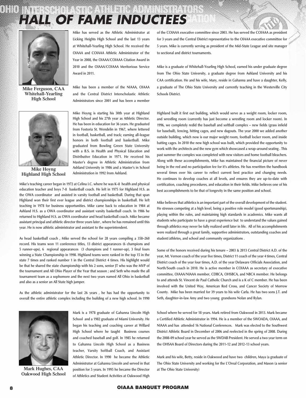

**Mike Ferguson, CAA Whitehall-Yearling High School**



**Mike Hoyng Highland High School**

**Mike has served as the Athletic Administrator at Licking Heights High School and the last 13 years at Whitehall-Yearling High School. He received the OIAAA and COIAAA Athletic Administrator of the Year in 2008, the OIAAA/COIAAA Citation Award in 2010 and the OIAAA/COIAAA Meritorious Service Award in 2011.** 

**Mike has been a member of the NIAAA, OIAAA and the Central District Interscholastic Athletic Administrators since 2001 and has been a member** 

**Mike Hoyng is starting his 30th year at Highland High School and his 27th year as Athletic Director. He has been in education for 36 years. He graduated from Fostoria St. Wendelin in 1967, where lettered in football, basketball, and track; earning all-league honors in both football and basketball. Mike graduated from Bowling Green State University with a B.S. in Health and Physical Education and Distributive Education in 1971. He received his Master's degree in Athletic Administration from Ashland University in 1986 and a Master's in School Administration in 1992 from Ashland.**

**Mike's teaching career began in 1972 at Celina I.C. where he was K–8 health and physical education teacher and boys 7-8 basketball coach. He left in 1975 for Highland H.S. as the OWA coordinator and assisted in varsity football and basketball. During that span Highland won their first ever league and district championships in basketball. He left teaching in 1978 for business opportunities. Mike came back to education in 1984 at Ashland H.S. as a OWA coordinator and assistant varsity basketball coach. In 1986 he returned to Highland H.S. as OWA coordinator and head basketball coach. Mike became assistant principal and athletic director three years later , where he has remained until this year. He is now athletic administrator and assistant to the superintendent.**

**As head basketball coach , Mike served the school for 28 years compiling a 358–260 record. His teams won 11 conference titles, 13 district appearances (6 champions and 5 runner-ups), 6 regional appearances (3 champions and 1 runner-up), 3 final fours winning a State Championship in 1998. Highland teams were ranked in the top 15 in the state 7 times and ranked number 1 in the Central District 4 times. His highlight would be that he shared the state championship with his 2 sons, senior JT who was the MVP of the tournament and All Ohio Player of the Year that season ; and Seth who made the all tournament team as a sophomore and the next two years named All Ohio in basketball and also as a senior an All State high jumper.**

**As the athletic administrator for the last 26 years , he has had the opportunity to overall the entire athletic complex including the building of a new high school. In 1990** 



**Oakwood High School**

**Mark is a 1978 graduate of Gahanna Lincoln High School and a 1982 graduate of Miami University. He began his teaching and coaching career at Willard High School where he taught Business courses and coached baseball and golf. In 1985 he returned to Gahanna Lincoln High School as a Business teacher, Varsity Softball Coach, and Assistant Athletic Director. In 1990 he became the Athletic Administrator at Gahanna Lincoln and served in that Mark Hughes, CAA** position for 5 years. In 1995 he became the Director at The Ohio State University) **of Athletics and Student Activities at Oakwood High** 

**of the COIAAA executive committee since 2003. He has served the COIAAA as president for 3 years and the Central District representative to the OIAAA executive committee for 5 years. Mike is currently serving as president of the Mid-State League and site manager to sectional and district tournaments.**

**Mike is a graduate of Whitehall-Yearling High School, earned his under graduate degree from The Ohio State University, a graduate degree from Ashland University and his CAA certification. He and his wife, Mary, reside in Gahanna and have a daughter, Kelly, a graduate of The Ohio State University and currently teaching in the Westerville City Schools District.**

**Highland built it first out building, which would serve as a weight room, locker room, and wrestling room (currently has just become a wrestling room and locker room). In 1996, we completely redid the baseball and softball complex – new fields (grass infield for baseball), fencing, hitting cages, and new dugouts. The year 2000 we added another outside building, which now is our major weight room, football locker room, and inside batting cages. In 2010 the new high school was built, which provided the opportunity to work with the architects and the new gym which showcased a wrap-around seating . This past summer the complex was completed with new visitors and home football bleachers. Along with these accomplishments, Mike has maintained the financial picture of never being in the red and no participation fee for it's athletes. He has rewritten the handbook several times over his career to reflect current best practice and changing needs. He continues to develop coaches at all levels, and ensures they are up-to-date with certification, coaching procedures, and education in their fields. Mike believes one of his best accomplishments to be that of longevity in the same position and school.**

**Mike believes that athletics is an important part of the overall development of the student. He stresses competing at a high level, being a positive role model (good sportsmanship), playing within the rules, and maintaining high standards in academics. Mike wants all students who participate to have a great experience but to understand the values gained through athletics may never be fully realized until later in life. All of his accomplishments were realized through a great family, supportive administrators, outstanding coaches and student/athletes, and school and community organizations .** 

**Some of the honors received during his tenure – 2003 & 2013 Central District A.D. of the year, Mt. Vernon coach of the year five times, District 11 coach of the year 4 times, Central District coach of the year four times, A.D. of the year Delaware Officials Association, and North/South coach in 2010. He is active member in COIAAA as secretary of executive committee, OIAAA/NIAAA member, CDBCA, OHSBCA, and NBCA member. He belongs to and attends St. Vincent de Paul Catholic Church and is a K of C member. He has been involved with the United Way, American Red Cross, and Cancer Society of Morrow County. Mike has been married for 39 years to his wife Carla. He has two sons J.T. and Seth, daughter-in-law Amy and two young grandsons Nolan and Rylan.** 

**School where he served for 18 years. Mark retired from Oakwood in 2013. Mark became a Certified Athletic Administrator in 1994. He is a member of the SWOADA, OIAAA, and NIAAA and has attended 16 National Conferences. Mark was elected to the Southwest District Athletic Board in December of 2006 and reelected in the spring of 2008. During the 2008-09 school year he served as the SWDAB President. He served a two year term on the OHSAA Board of Directors during the 2011-12 and 2012-13 school years.** 

**Mark and his wife, Betty, reside in Oakwood and have two children, Maya (a graduate of The Ohio State University and working for the L'Oreal Corporation, and Mason (a senior**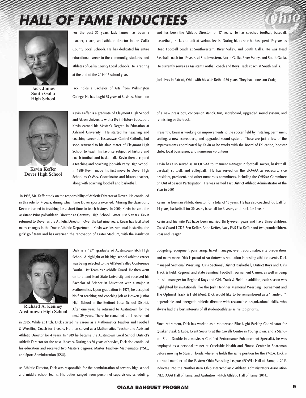

**Jack James South Galia High School**

**For the past 35 years Jack James has been a teacher, coach, and athletic director in the Gallia County Local Schools. He has dedicated his entire educational career to the community, students, and athletes of Gallia County Local Schools. He is retiring at the end of the 2014-15 school year.**

**Jack holds a Bachelor of Arts from Wilmington College. He has taught 35 years of Business Education** 



**Jack lives in Patriot, Ohio with his wife Beth of 30 years. They have one son Craig.**



**Kevin Keffer Dover High School**

**Kevin Keffer is a graduate of Claymont High School and Akron University with a BA in History Education. Kevin earned his Master's Degree in Education at Ashland University. He started his teaching and coaching career at Tuscarawas Central Catholic, but soon returned to his alma mater of Claymont High School to teach his favorite subject of history and coach football and basketball. Kevin then accepted a teaching and coaching job with Perry High School. In 1989 Kevin made his first move to Dover High School as O.W.A. Coordinator and history teacher, along with coaching football and basketball.** 

 **In 1993, Mr. Keffer took on the responsibility of Athletic Director at Dover. He continued in this role for 4 years, during which time Dover sports excelled. Missing the classroom, Kevin returned to teaching for a short time to teach history. In 2000, Kevin became the Assistant Principal/Athletic Director at Garaway High School. After just 5 years, Kevin returned to Dover as the Athletic Director. Over the last nine years, Kevin has facilitated many changes in the Dover Athletic Department. Kevin was instrumental in starting the girls' golf team and has overseen the renovation of Crater Stadium, with the insulation** 



**Richard A. Kenney Austintown High School**

**Dick is a 1971 graduate of Austintown-Fitch High School. A highlight of his high school athletic career was being selected to the All Steel Valley Conference Football 1st Team as a Middle Guard. He then went on to attend Kent State University and received his Bachelor of Science in Education with a major in Mathematics. Upon graduation in 1975, he accepted his first teaching and coaching job at Heskett Junior High School in the Bedford Local School District. After one year, he returned to Austintown for the next 29 years. There he remained until retirement** 

**in 2005. While at Fitch, Dick started his career as a Mathematics Teacher and Football & Wrestling Coach for 9 years. He then served as a Mathematics Teacher and Assistant Athletic Director for 4 years. In 1989 he became the Austintown Local School District's Athletic Director for the next 16 years. During his 30 years of service, Dick also continued his education and received two Masters degrees: Master Teacher- Mathematics {YSU), and Sport Administration (KSU).**

**As Athletic Director, Dick was responsible for the administration of seventy high school and middle school teams. His duties ranged from personnel supervision, scheduling,**  **of a new press box, concession stands, turf, scoreboard, upgraded sound system, and refinishing of the track.** 

**Presently, Kevin is working on improvements to the soccer field by installing permanent seating, a new scoreboard, and upgraded sound system. These are just a few of the improvements coordinated by Kevin as he works with the Board of Education, booster clubs, local businesses, and numerous volunteers.**

**Kevin has also served as an OHSAA tournament manager in football, soccer, basketball, baseball, softball, and volleyball. He has served on the EIOAAA as secretary, vice president, president, and other numerous committees, including the OHSAA Committee on Out of Season Participation. He was named East District Athletic Administrator of the Year in 2005.**

**Kevin has been an athletic director for a total of 18 years. He has also coached football for 24 years, basketball for 20 years, baseball for 3 years, and track for 1 year.**

**Kevin and his wife Pat have been married thirty-seven years and have three children: Coast Guard LCDR Ben Keffer, Anne Keffer, Navy ENS Ella Keffer and two grandchildren, Ross and Reagan.**

**budgeting, equipment purchasing, ticket manager, event coordinator, site preparation, and many more. Dick is proud of Austintown's reputation in hosting athletic events. Dick managed Sectional Wrestling, Girls Sectional/District Basketball, District Boys and Girls Track & Field, Regional and State Semifinal Football Tournament Games, as well as being the site manager for Regional Boys and Girls Track & Field. In addition, each season was highlighted by invitationals like the Josh Hephner Memorial Wrestling Tournament and The Optimist Track & Field Meet. Dick would like to be remembered as a "hands-on", dependable and energetic athletic director with reasonable organizational skills, who always had the best interests of all student-athletes as his top priority.**

**Since retirement, Dick has worked as a Motorcycle Bike Night Parking Coordinator for Quaker Steak & Lube, Event Security at the Covelli Centre in Youngstown, and a Standin I Stunt Double in a movie. A Certified Performance Enhancement Specialist, he was employed as a personal trainer at Creekside Health and Fitness Center in Boardman before moving to Stuart, Florida where he holds the same position for the YMCA. Dick is a proud member of the Eastern Ohio Wrestling League (EOWL) Hall of Fame, a 2013 inductee into the Northeastern Ohio Interscholastic Athletic Administrators Association (NEOIAAA) Hall of Fame, and Austintown-Fitch Athletic Hall of Fame (2014).**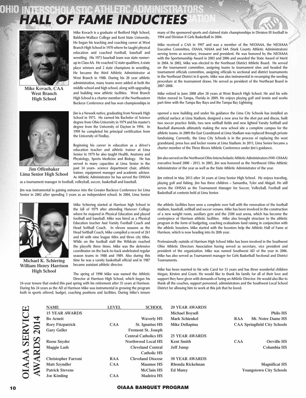**Mike Kovach is a graduate of Bedford High School, Baldwin-Wallace College and Kent State University. He began his teaching and coaching career at West Branch High School in 1970 where he taught physical education and coached football, baseball and wrestling. His 1973 baseball team was state runnerup in Class AA. He coached 12 state qualifiers, 6 state place winners and 2 state champions in wrestling. He became the third Athletic Administrator at West Branch in 1988. During his 20 year athletic administration, many teams were added at both the middle school and high school, along with upgrading and building new athletic facilities. West Branch High School is a charter member of the Northeastern Buckeye Conference and has won championships in** 

**Jim is a Newark native, graduating from Newark High School in 1975. He earned his Bachelor of Science degree from Ohio University in 1979 and his master's degree from the University of Dayton in 1994. In 1999 he completed his principal certification from** 

**Beginning his career in education as a driver's education teacher and athletic trainer at Lima Senior in 1979 he also taught Health, Anatomy and Physiology, Sports Medicine and Biology. He has served in many capacities at Lima Senior in the past 34 years- science department chair, athletic trainer, equipment manager and academic advisor.** 



**Mike Kovach, CAA West Branch High School**



**Jim Offenbaker Lima Senior High School**

**As Athletic Administrator he has served the OHSAA as a tournament manager in football, volleyball, soccer, basketball and baseball.**

**Jim was instrumental in gaining entrance into the Greater Buckeye Conference for Lima Senior in 2002 after spending 3 years as an independent school. In 2004, Lima Senior** 

**the University of Findlay.** 



**Michael K. Schiering William Henry Harrison High School**

**Mike Schiering started at Harrison high School in the fall of 1979 after attending Hanover College where he majored in Physical Education and played football and baseball. Mike was hired as a Physical Education teacher Asst Varsity Football Coach and Head Softball Coach. In eleven seasons as the Head Softball Coach, Mike compiled a record of 261 and 60 with nine league titles and three city titles. While on the football staff the Wildcats reached the playoffs three times. Mike was the defensive coordinator on the back-to-back undefeated regular season teams in 1988 and 1989. Also during this time he was a varsity basketball official and in 1987 became assistant athletic director.**

**The spring of 1990 Mike was named the Athletic Director at Harrison High School, which began his** 

**24-year tenure that ended this past spring with his retirement after 35 years at Harrison. During his 24 years as the AD at Harrison Mike was instrumental in growing the program both in sports offered, budget, coaching positions and facilities. During Mike's tenure**  **many of the sponsored sports and claimed state championships in Division III football in 1994 and Division II Girls Basketball in 2004.**

**Mike received a CAA in 1997 and was a member of the NEOIAAA, the NEOIAAA Executive Committee, OIAAA, NIAAA and S4A (Stark County Athletic Administrators) serving terms as secretary, treasurer and president. He was honored by the NEOIAAA with the Sportsmanship Award in 2003 and 2006 and awarded the State Award of Merit in 2004. In 2002, Mike was elected to the Northeast District Athletic Board. He served on the tournament committee, assigning teams to tournament sites and headed the tournament officials committee, assigning officials to sectional and district tournaments in the Northeast District in 8 sports. Mike was also instrumental in revamping the seeding procedure at the tournament draws. He served as president of the Northeast Board in 2007-2008.**

**Mike retired in June 2008 after 38 years at West Branch High School. He and his wife Helen moved to Tampa, Florida in 2009. He enjoys playing golf and tennis and works part-time with the Tampa Bay Rays and the Tampa Bay Lightning**

**opened a new building and under his guidance the Lima City Schools has installed an artificial surface at Lima Stadium, designed a new area for the shot put and discus, built two soccer practice fields, two new softball fields and new lighted Varsity Softball and Baseball diamonds ultimately making the new school site a complete campus for the athletic teams. In 2009 the East Grandstand at Lima Stadium was replaced through private fundraising. Currently, the Lima City Schools is in the process of replacing the west grandstand, press box and locker rooms at Lima Stadium. In 2011, Lima Senior became a charter member of the Three Rivers Athletic Conference under Jim's guidance.** 

**Jim also served on the Northwest Ohio Interscholastic Athletic Administrators (NW-OIAAA) executive board 2000 - 2013. In 2005, Jim was honored as the Northwest Ohio Athletic Administrator of the year as well as the State Athletic Administrator of the year.** 

**Jim retired in May 2013 after 34 years at Lima Senior High School. He enjoys traveling, playing golf and fishing. Jim has three children – Samantha, Tyler and Abigail. He still serves the OHSAA as the Tournament Manager for Soccer, Volleyball, Football and Basketball at contests held at Lima Senior.**

**the athletic facilities have seen a complete over hall with the renovation of the football stadium, baseball, softball and soccer venues. Mike has been involved in the construction of a new weight room, auxiliary gym and the 2500 seat arena, which has become the centerpiece of Harrison athletic facilities. Mike also brought structure to the athletic program in the form of budgeting, coaching evaluations fund raising in conjunction with the athletic boosters. Mike started with the boosters help the Athletic Hall of Fame at Harrison, which is now heading into its 20th year.** 

**Professionally outside of Harrison High School Mike has been involved in the Southwest Ohio Athletic Directors Association having served as secretary, vice president and president of the organization. Mike was named Southwest AD of the year in 2006. Mike has also served as Tournament manager for Girls Basketball Sectional and District Tournaments.**

**Mike has been married to his wife Carol for 33 years and has three wonderful children Megan, Kirsten and Grant. He would like to thank his family for all of their love and support they have given with demands of being an Athletic Director. He would also like to thank all the coaches, support personnel, administrators and the Southwest Local School District for allowing him to work at this job that he loved.**

| $\boldsymbol{\Xi}$   |                           | <b>NAME</b>                | <b>LEVEL</b> | <b>SCHOOL</b>               | <b>20 YEAR AWARDS</b>  |            |                                     |
|----------------------|---------------------------|----------------------------|--------------|-----------------------------|------------------------|------------|-------------------------------------|
|                      |                           | <b>15 YEAR AWARDS</b>      |              |                             | <b>Michael Boysell</b> |            | <b>Philo HS</b>                     |
|                      | ↴                         | <b>Bo Arnett</b>           |              | <b>Waverly HS</b>           | <b>Mark Schienkel</b>  | <b>RAA</b> | Mt. Notre Dame HS                   |
| SERVIC               |                           | <b>Rory Fitzpatrick</b>    | <b>CAA</b>   | St. Ignatius HS             | Mike Dellapina         |            | <b>CAA Springfield City Schools</b> |
|                      | $\boldsymbol{\mathsf{N}}$ | <b>Gary Geller</b>         |              | <b>Fremont St. Joseph</b>   |                        |            |                                     |
|                      |                           |                            |              | <b>Central Catholics HS</b> | <b>25 YEAR AWARDS</b>  |            |                                     |
|                      | $\boldsymbol{\omega}$     | <b>Reese Snyder</b>        |              | Northwood Local HS          | <b>Kent Smith</b>      | <b>CAA</b> | Orrville HS                         |
|                      |                           | Maggie Lash                |              | <b>Cleveland Central</b>    | Jeff Jump              |            | Columbia HS                         |
| $\blacktriangleleft$ |                           |                            |              | <b>Catholic HS</b>          |                        |            |                                     |
|                      |                           | <b>Christopher Farroni</b> | <b>RAA</b>   | <b>Cleveland Diocese</b>    | <b>30 YEAR AWARDS</b>  |            |                                     |
|                      |                           | <b>Matt Szyndler</b>       | <b>CAA</b>   | <b>Maumee HS</b>            | Rhonda Rickelman       |            | <b>Magnificat HS</b>                |
| <b>OIAA</b>          |                           | <b>Patrick Stevens</b>     |              | <b>McClain HS</b>           | <b>Ed Matey</b>        |            | <b>Youngstown City Schools</b>      |
|                      |                           | <b>Joe Kimling</b>         | <b>CAA</b>   | <b>Madeira HS</b>           |                        |            |                                     |

#### 10 OIAAA BANQUET PROGRAM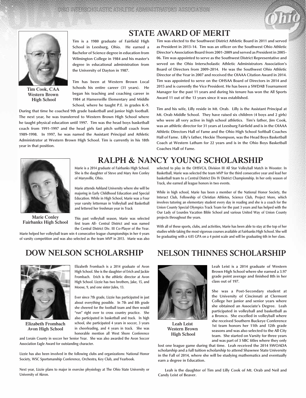

#### **STATE AWARD OF MERIT**



**Tim Cook, CAA Western Brown High School**

**Tim is a 1980 graduate of Fairfield High School in Leesburg, Ohio. He earned a Bachelor of Science degree in education from Wilmington College in 1984 and his master's degree in educational administration from the University of Dayton in 1987.**

<u> Indian American State of the State of the State of the State of the State of the State of the State of the S</u>

**Tim has been at Western Brown Local Schools his entire career (31 years). He began his teaching and coaching career in 1984 at Hamersville Elementary and Middle School, where he taught P.E. in grades K-9.** 

**During that time he coached 9th grade basketball and junior high football. The next year, he was transferred to Western Brown High School where he taught physical education until 1997. Tim was the head boys basketball coach from 1991-1997 and the head girls fast pitch softball coach from 1989-1998. In 1997, he was named the Assistant Principal and Athletic Administrator at Western Brown High School. Tim is currently in his 18th year in that position.**

**Tim was elected to the Southwest District Athletic Board in 2011 and served as President in 2013-14. Tim was an officer on the Southwest Ohio Athletic Director's Association Board from 2001-2009 and served as President in 2005- 06. Tim was appointed to serve as the Southwest District Representative and served on the Ohio Interscholastic Athletic Administrators Association's Board of Directors from 2009-2014. He was the Southwest Ohio Athletic Director of the Year in 2007 and received the OIAAA Citation Award in 2014. Tim was appointed to serve on the OHSAA Board of Directors in 2014 and 2015 and is currently the Vice President. He has been a SWDAB Tournament Manager for the past 11 years and during his tenure has won the All Sports Award 11 out of the 13 years since it was established.** 

**Tim and his wife, Lilly reside in Mt. Orab. Lilly is the Assistant Principal at Mt. Orab Middle School. They have raised six children (4 boys and 2 girls) who were all very active in high school athletics. Tim's father, Jim Cook, was an athletic director for 31 years at Leesburg Fairfield and is in the OIAAA Athletic Directors Hall of Fame and the Ohio High School Softball Coaches Hall of Fame. Lilly's father, Heckie Thompson, was the Head Boys Basketball Coach at Western Latham for 22 years and is in the Ohio Boys Basketball Coaches Hall of Fame.**



**Marie Conley Fairbanks High School**

**Marie is a 2014 graduate of Fairbanks High School. She is the daughter of Steve and Mary Ann Conley of Marysville, Ohio.**

**Marie attends Ashland University where she will be majoring in Early Childhood Education and Special Education. While in High School, Marie was a Four year varsity letterman in Volleyball and Basketball and lettered her freshman year in Track** 

**This past volleyball season, Marie was selected first team All- Central District and was named the Central District Div. III Co-Player of the Year.** 

**Marie helped her volleyball team win 4 consecutive league championships in her 4 years of varsity competition and was also selected as the team MVP in 2013. Marie was also** 

### **DOW NELSON SCHOLARSHIP**



**Elizabeth Frombach Avon High School**

**Elizabeth Frombach is a 2014 graduate of Avon High School. She is the daughter of Erich and Jackie Frombach. Erich is the athletic director at Avon High School. Lizzie has two brothers, Jake, 15, and Moose, 9, and one sister Jules, 13.**

**Ever since 7th grade, Lizzie has participated in just about everything possible. In 7th and 8th grade she cheered for the football team and then would "run" right over to cross country practice. She also participated in basketball and track. In high school, she participated 4 years in soccer, 3 years in cheerleading, and 4 years in track. She was honorable mention all West Shore Conference** 

**and Lorain County in soccer her Senior Year. She was also awarded the Avon Soccer Association Eagle Award for outstanding character.**

**Lizzie has also been involved in the following clubs and organizations: National Honor Society, WSC Sportsmanship Conference, Orchestra, Key Club, and Yearbook.** 

**Next year, Lizzie plans to major in exercise physiology at The Ohio State University or University of Akron.**

### **Ralph & nancy young scholarship**

**selected to play in the OHSVCA, Division III All Star Volleyball Match in Wooster. In Basketball, Marie was selected the team MVP for the third consecutive year and lead her basketball team to a Central District Div IV District Championship. In her only season of Track, she earned all league honors in two events.**

**While in high school, Marie has been a member of the National Honor Society, the Interact Club, Fellowship of Christian Athletes, Science Club, Project More, which involves tutoring an elementary student every day in reading and she is a coach for the Union County Special Olympics Track Team for the past 3 years and has helped with the Our Lady of Lourdes Vacation Bible School and various United Way of Union County projects throughout the years.**

**With all of these sports, clubs, and activities, Marie has been able to stay at the top of her studies while taking the most vigorous courses available at Fairbanks High School. She will be graduating with a 4.05 GPA on a 4 point scale and will be graduating 6th in her class.**

### **NELSON THINNES SCHOLARSHIP**



**Leah Leist Western Brown High School**

**Leah Leist is a 2014 graduate of Western Brown High School where she earned a 3.97 grade point average and finished 8th in her class out of 197.**

**She was a Post-Secondary student at the University of Cincinnati at Clermont College her junior and senior years where she obtained an Associate's Degree. Leah participated in volleyball and basketball as a Bronco. She excelled in volleyball where she received Southern Buckeye Conference 1st team honors her 11th and 12th grade seasons and was also selected to the All City team. She started on Varsity for three years and was part of 3 SBC titles where they only** 

**lost one league game during that time. Leah received the 2014 SWOADA scholarship and a full tuition scholarship to attend Shawnee State University in the Fall of 2014, where she will be studying mathematics and eventually earn a degree in Education.**

 **Leah is the daughter of Tim and Lilly Cook of Mt. Orab and Neil and Candy Leist of Beaver.**